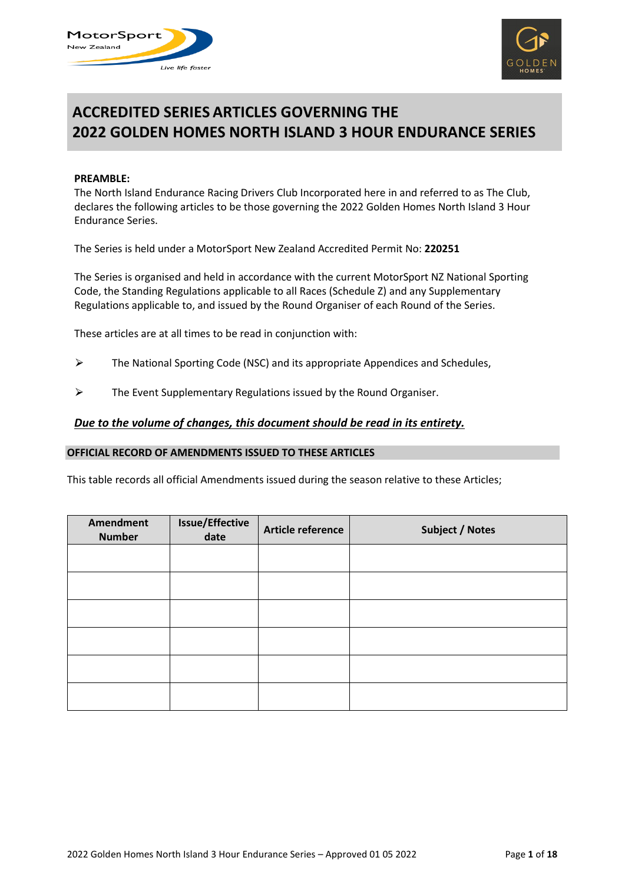



# **ACCREDITED SERIES ARTICLES GOVERNING THE 2022 GOLDEN HOMES NORTH ISLAND 3 HOUR ENDURANCE SERIES**

#### **PREAMBLE:**

The North Island Endurance Racing Drivers Club Incorporated here in and referred to as The Club, declares the following articles to be those governing the 2022 Golden Homes North Island 3 Hour Endurance Series.

The Series is held under a MotorSport New Zealand Accredited Permit No: **220251**

The Series is organised and held in accordance with the current MotorSport NZ National Sporting Code, the Standing Regulations applicable to all Races (Schedule Z) and any Supplementary Regulations applicable to, and issued by the Round Organiser of each Round of the Series.

These articles are at all times to be read in conjunction with:

- $\triangleright$  The National Sporting Code (NSC) and its appropriate Appendices and Schedules,
- $\triangleright$  The Event Supplementary Regulations issued by the Round Organiser.

# *Due to the volume of changes, this document should be read in its entirety.*

#### **OFFICIAL RECORD OF AMENDMENTS ISSUED TO THESE ARTICLES**

This table records all official Amendments issued during the season relative to these Articles;

| Amendment<br><b>Number</b> | <b>Issue/Effective</b><br>date | Article reference | <b>Subject / Notes</b> |
|----------------------------|--------------------------------|-------------------|------------------------|
|                            |                                |                   |                        |
|                            |                                |                   |                        |
|                            |                                |                   |                        |
|                            |                                |                   |                        |
|                            |                                |                   |                        |
|                            |                                |                   |                        |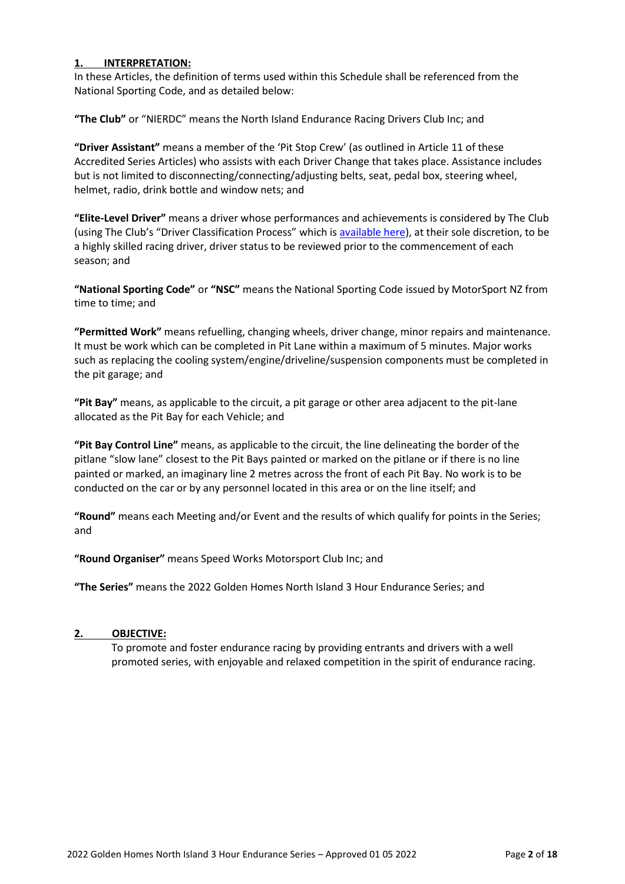# **1. INTERPRETATION:**

In these Articles, the definition of terms used within this Schedule shall be referenced from the National Sporting Code, and as detailed below:

**"The Club"** or "NIERDC" means the North Island Endurance Racing Drivers Club Inc; and

**"Driver Assistant"** means a member of the 'Pit Stop Crew' (as outlined in Article 11 of these Accredited Series Articles) who assists with each Driver Change that takes place. Assistance includes but is not limited to disconnecting/connecting/adjusting belts, seat, pedal box, steering wheel, helmet, radio, drink bottle and window nets; and

**"Elite-Level Driver"** means a driver whose performances and achievements is considered by The Club (using The Club's "Driver Classification Process" which is [available here\)](https://nierdc.files.wordpress.com/2022/03/nierdc-elite-drivers-list-2022-1.pdf), at their sole discretion, to be a highly skilled racing driver, driver status to be reviewed prior to the commencement of each season; and

**"National Sporting Code"** or **"NSC"** means the National Sporting Code issued by MotorSport NZ from time to time; and

**"Permitted Work"** means refuelling, changing wheels, driver change, minor repairs and maintenance. It must be work which can be completed in Pit Lane within a maximum of 5 minutes. Major works such as replacing the cooling system/engine/driveline/suspension components must be completed in the pit garage; and

**"Pit Bay"** means, as applicable to the circuit, a pit garage or other area adjacent to the pit-lane allocated as the Pit Bay for each Vehicle; and

**"Pit Bay Control Line"** means, as applicable to the circuit, the line delineating the border of the pitlane "slow lane" closest to the Pit Bays painted or marked on the pitlane or if there is no line painted or marked, an imaginary line 2 metres across the front of each Pit Bay. No work is to be conducted on the car or by any personnel located in this area or on the line itself; and

**"Round"** means each Meeting and/or Event and the results of which qualify for points in the Series; and

**"Round Organiser"** means Speed Works Motorsport Club Inc; and

**"The Series"** means the 2022 Golden Homes North Island 3 Hour Endurance Series; and

# **2. OBJECTIVE:**

To promote and foster endurance racing by providing entrants and drivers with a well promoted series, with enjoyable and relaxed competition in the spirit of endurance racing.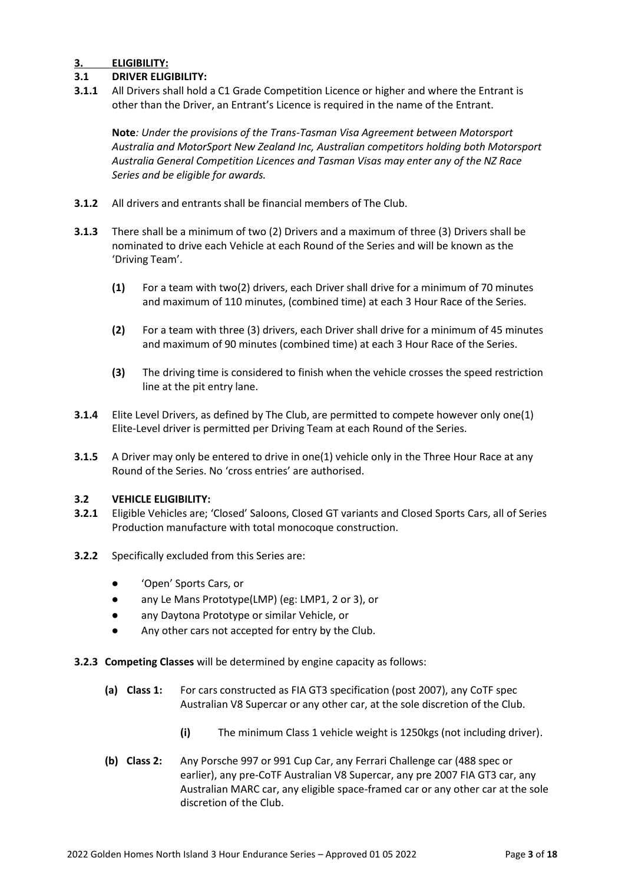# **3. ELIGIBILITY:**

# **3.1 DRIVER ELIGIBILITY:**

**3.1.1** All Drivers shall hold a C1 Grade Competition Licence or higher and where the Entrant is other than the Driver, an Entrant's Licence is required in the name of the Entrant.

**Note***: Under the provisions of the Trans-Tasman Visa Agreement between Motorsport Australia and MotorSport New Zealand Inc, Australian competitors holding both Motorsport Australia General Competition Licences and Tasman Visas may enter any of the NZ Race Series and be eligible for awards.*

- **3.1.2** All drivers and entrants shall be financial members of The Club.
- **3.1.3** There shall be a minimum of two (2) Drivers and a maximum of three (3) Drivers shall be nominated to drive each Vehicle at each Round of the Series and will be known as the 'Driving Team'.
	- **(1)** For a team with two(2) drivers, each Driver shall drive for a minimum of 70 minutes and maximum of 110 minutes, (combined time) at each 3 Hour Race of the Series.
	- **(2)** For a team with three (3) drivers, each Driver shall drive for a minimum of 45 minutes and maximum of 90 minutes (combined time) at each 3 Hour Race of the Series.
	- **(3)** The driving time is considered to finish when the vehicle crosses the speed restriction line at the pit entry lane.
- **3.1.4** Elite Level Drivers, as defined by The Club, are permitted to compete however only one(1) Elite-Level driver is permitted per Driving Team at each Round of the Series.
- **3.1.5** A Driver may only be entered to drive in one(1) vehicle only in the Three Hour Race at any Round of the Series. No 'cross entries' are authorised.

# **3.2 VEHICLE ELIGIBILITY:**

- **3.2.1** Eligible Vehicles are; 'Closed' Saloons, Closed GT variants and Closed Sports Cars, all of Series Production manufacture with total monocoque construction.
- **3.2.2** Specifically excluded from this Series are:
	- 'Open' Sports Cars, or
	- any Le Mans Prototype(LMP) (eg: LMP1, 2 or 3), or
	- any Daytona Prototype or similar Vehicle, or
	- Any other cars not accepted for entry by the Club.
- **3.2.3 Competing Classes** will be determined by engine capacity as follows:
	- **(a) Class 1:** For cars constructed as FIA GT3 specification (post 2007), any CoTF spec Australian V8 Supercar or any other car, at the sole discretion of the Club.
		- **(i)** The minimum Class 1 vehicle weight is 1250kgs (not including driver).
	- **(b) Class 2:** Any Porsche 997 or 991 Cup Car, any Ferrari Challenge car (488 spec or earlier), any pre-CoTF Australian V8 Supercar, any pre 2007 FIA GT3 car, any Australian MARC car, any eligible space-framed car or any other car at the sole discretion of the Club.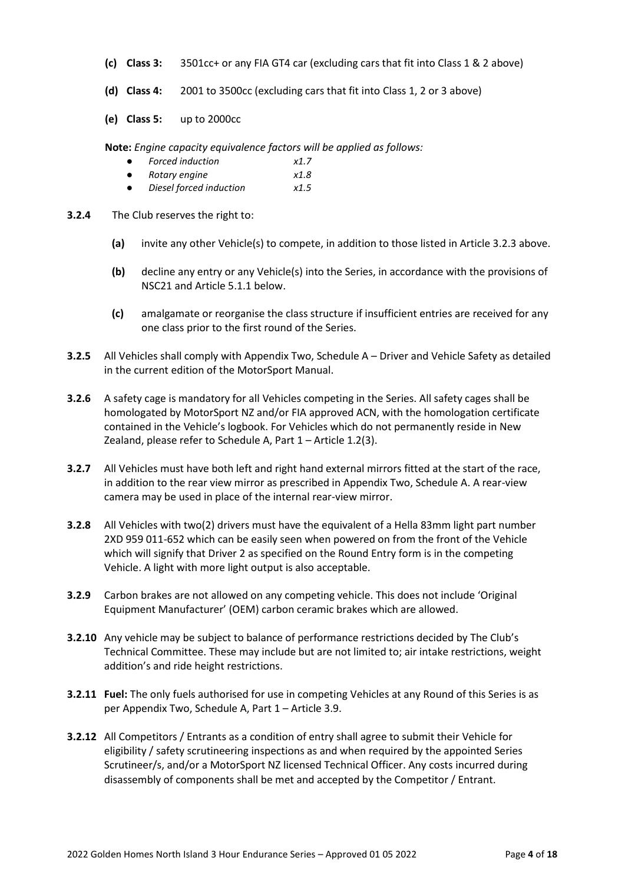- **(c) Class 3:** 3501cc+ or any FIA GT4 car (excluding cars that fit into Class 1 & 2 above)
- **(d) Class 4:** 2001 to 3500cc (excluding cars that fit into Class 1, 2 or 3 above)
- **(e) Class 5:** up to 2000cc

**Note:** *Engine capacity equivalence factors will be applied as follows:*

- *Forced induction x1.7*
- *Rotary engine x1.8*
- *Diesel forced induction x1.5*
- **3.2.4** The Club reserves the right to:
	- **(a)** invite any other Vehicle(s) to compete, in addition to those listed in Article 3.2.3 above.
	- **(b)** decline any entry or any Vehicle(s) into the Series, in accordance with the provisions of NSC21 and Article 5.1.1 below.
	- **(c)** amalgamate or reorganise the class structure if insufficient entries are received for any one class prior to the first round of the Series.
- **3.2.5** All Vehicles shall comply with Appendix Two, Schedule A Driver and Vehicle Safety as detailed in the current edition of the MotorSport Manual.
- **3.2.6** A safety cage is mandatory for all Vehicles competing in the Series. All safety cages shall be homologated by MotorSport NZ and/or FIA approved ACN, with the homologation certificate contained in the Vehicle's logbook. For Vehicles which do not permanently reside in New Zealand, please refer to Schedule A, Part 1 – Article 1.2(3).
- **3.2.7** All Vehicles must have both left and right hand external mirrors fitted at the start of the race, in addition to the rear view mirror as prescribed in Appendix Two, Schedule A. A rear-view camera may be used in place of the internal rear-view mirror.
- **3.2.8** All Vehicles with two(2) drivers must have the equivalent of a Hella 83mm light part number 2XD 959 011-652 which can be easily seen when powered on from the front of the Vehicle which will signify that Driver 2 as specified on the Round Entry form is in the competing Vehicle. A light with more light output is also acceptable.
- **3.2.9** Carbon brakes are not allowed on any competing vehicle. This does not include 'Original Equipment Manufacturer' (OEM) carbon ceramic brakes which are allowed.
- **3.2.10** Any vehicle may be subject to balance of performance restrictions decided by The Club's Technical Committee. These may include but are not limited to; air intake restrictions, weight addition's and ride height restrictions.
- **3.2.11 Fuel:** The only fuels authorised for use in competing Vehicles at any Round of this Series is as per Appendix Two, Schedule A, Part 1 – Article 3.9.
- **3.2.12** All Competitors / Entrants as a condition of entry shall agree to submit their Vehicle for eligibility / safety scrutineering inspections as and when required by the appointed Series Scrutineer/s, and/or a MotorSport NZ licensed Technical Officer. Any costs incurred during disassembly of components shall be met and accepted by the Competitor / Entrant.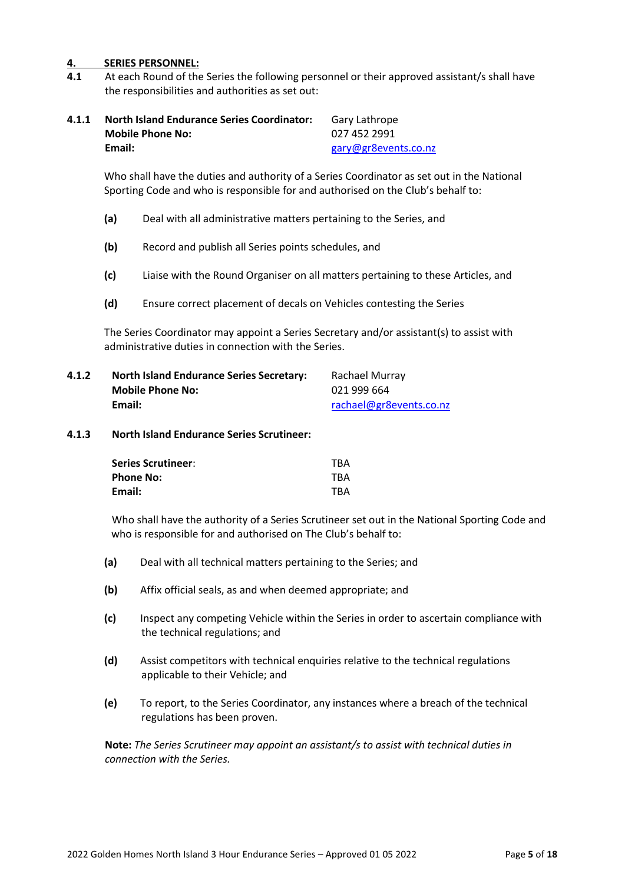# **4. SERIES PERSONNEL:**

**4.1** At each Round of the Series the following personnel or their approved assistant/s shall have the responsibilities and authorities as set out:

| 4.1.1 | <b>North Island Endurance Series Coordinator:</b> | Gary Lathrope        |
|-------|---------------------------------------------------|----------------------|
|       | <b>Mobile Phone No:</b>                           | 027 452 2991         |
|       | Email:                                            | gary@gr8events.co.nz |

Who shall have the duties and authority of a Series Coordinator as set out in the National Sporting Code and who is responsible for and authorised on the Club's behalf to:

- **(a)** Deal with all administrative matters pertaining to the Series, and
- **(b)** Record and publish all Series points schedules, and
- **(c)** Liaise with the Round Organiser on all matters pertaining to these Articles, and
- **(d)** Ensure correct placement of decals on Vehicles contesting the Series

The Series Coordinator may appoint a Series Secretary and/or assistant(s) to assist with administrative duties in connection with the Series.

| 4.1.2 | <b>North Island Endurance Series Secretary:</b> | Rachael Murray          |
|-------|-------------------------------------------------|-------------------------|
|       | <b>Mobile Phone No:</b>                         | 021 999 664             |
|       | Email:                                          | rachael@gr8events.co.nz |

#### **4.1.3 North Island Endurance Series Scrutineer:**

| <b>Series Scrutineer:</b> | <b>TBA</b> |
|---------------------------|------------|
| <b>Phone No:</b>          | <b>TBA</b> |
| Email:                    | <b>TBA</b> |

Who shall have the authority of a Series Scrutineer set out in the National Sporting Code and who is responsible for and authorised on The Club's behalf to:

- **(a)** Deal with all technical matters pertaining to the Series; and
- **(b)** Affix official seals, as and when deemed appropriate; and
- **(c)** Inspect any competing Vehicle within the Series in order to ascertain compliance with the technical regulations; and
- **(d)** Assist competitors with technical enquiries relative to the technical regulations applicable to their Vehicle; and
- **(e)** To report, to the Series Coordinator, any instances where a breach of the technical regulations has been proven.

**Note:** *The Series Scrutineer may appoint an assistant/s to assist with technical duties in connection with the Series.*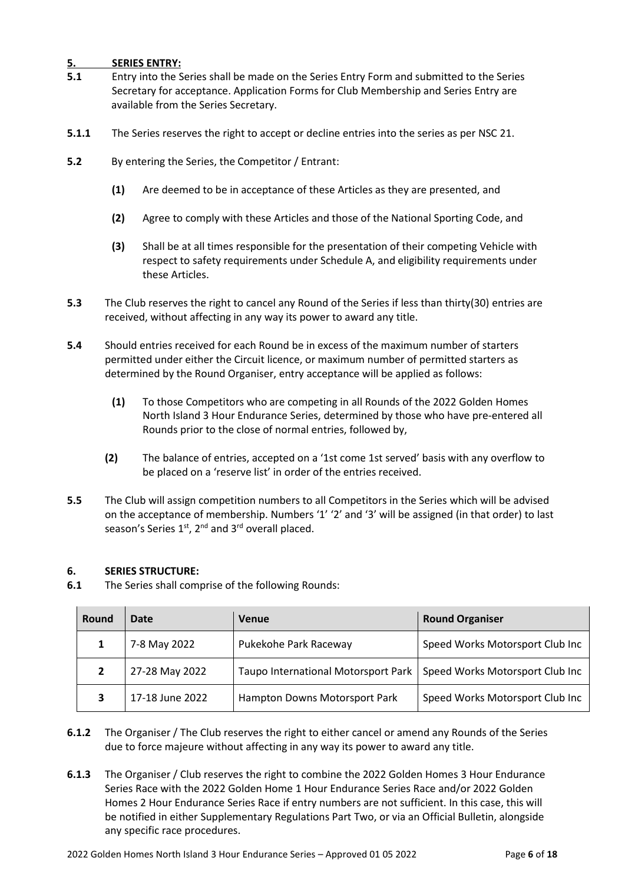# **5. SERIES ENTRY:**

- **5.1** Entry into the Series shall be made on the Series Entry Form and submitted to the Series Secretary for acceptance. Application Forms for Club Membership and Series Entry are available from the Series Secretary.
- **5.1.1** The Series reserves the right to accept or decline entries into the series as per NSC 21.
- **5.2** By entering the Series, the Competitor / Entrant:
	- **(1)** Are deemed to be in acceptance of these Articles as they are presented, and
	- **(2)** Agree to comply with these Articles and those of the National Sporting Code, and
	- **(3)** Shall be at all times responsible for the presentation of their competing Vehicle with respect to safety requirements under Schedule A, and eligibility requirements under these Articles.
- **5.3** The Club reserves the right to cancel any Round of the Series if less than thirty(30) entries are received, without affecting in any way its power to award any title.
- **5.4** Should entries received for each Round be in excess of the maximum number of starters permitted under either the Circuit licence, or maximum number of permitted starters as determined by the Round Organiser, entry acceptance will be applied as follows:
	- **(1)** To those Competitors who are competing in all Rounds of the 2022 Golden Homes North Island 3 Hour Endurance Series, determined by those who have pre-entered all Rounds prior to the close of normal entries, followed by,
	- **(2)** The balance of entries, accepted on a '1st come 1st served' basis with any overflow to be placed on a 'reserve list' in order of the entries received.
- **5.5** The Club will assign competition numbers to all Competitors in the Series which will be advised on the acceptance of membership. Numbers '1' '2' and '3' will be assigned (in that order) to last season's Series  $1<sup>st</sup>$ ,  $2<sup>nd</sup>$  and  $3<sup>rd</sup>$  overall placed.

# **6. SERIES STRUCTURE:**

**6.1** The Series shall comprise of the following Rounds:

| Round | Date            | <b>Venue</b>                        | <b>Round Organiser</b>          |
|-------|-----------------|-------------------------------------|---------------------------------|
|       | 7-8 May 2022    | Pukekohe Park Raceway               | Speed Works Motorsport Club Inc |
|       | 27-28 May 2022  | Taupo International Motorsport Park | Speed Works Motorsport Club Inc |
|       | 17-18 June 2022 | Hampton Downs Motorsport Park       | Speed Works Motorsport Club Inc |

- **6.1.2** The Organiser / The Club reserves the right to either cancel or amend any Rounds of the Series due to force majeure without affecting in any way its power to award any title.
- **6.1.3** The Organiser / Club reserves the right to combine the 2022 Golden Homes 3 Hour Endurance Series Race with the 2022 Golden Home 1 Hour Endurance Series Race and/or 2022 Golden Homes 2 Hour Endurance Series Race if entry numbers are not sufficient. In this case, this will be notified in either Supplementary Regulations Part Two, or via an Official Bulletin, alongside any specific race procedures.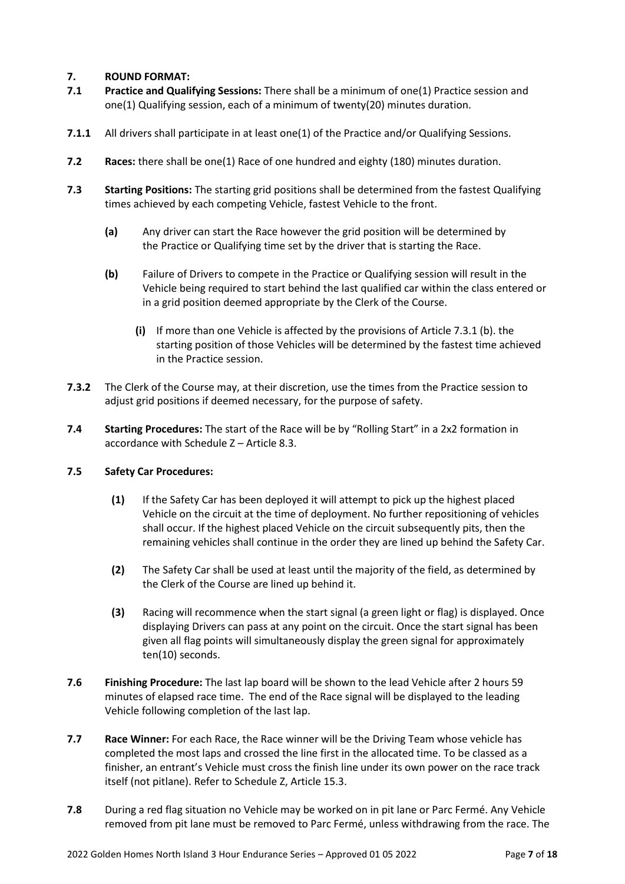# **7. ROUND FORMAT:**

- **7.1 Practice and Qualifying Sessions:** There shall be a minimum of one(1) Practice session and one(1) Qualifying session, each of a minimum of twenty(20) minutes duration.
- **7.1.1** All drivers shall participate in at least one(1) of the Practice and/or Qualifying Sessions.
- **7.2 Races:** there shall be one(1) Race of one hundred and eighty (180) minutes duration.
- **7.3 Starting Positions:** The starting grid positions shall be determined from the fastest Qualifying times achieved by each competing Vehicle, fastest Vehicle to the front.
	- **(a)** Any driver can start the Race however the grid position will be determined by the Practice or Qualifying time set by the driver that is starting the Race.
	- **(b)** Failure of Drivers to compete in the Practice or Qualifying session will result in the Vehicle being required to start behind the last qualified car within the class entered or in a grid position deemed appropriate by the Clerk of the Course.
		- **(i)** If more than one Vehicle is affected by the provisions of Article 7.3.1 (b). the starting position of those Vehicles will be determined by the fastest time achieved in the Practice session.
- **7.3.2** The Clerk of the Course may, at their discretion, use the times from the Practice session to adjust grid positions if deemed necessary, for the purpose of safety.
- **7.4 Starting Procedures:** The start of the Race will be by "Rolling Start" in a 2x2 formation in accordance with Schedule Z – Article 8.3.

# **7.5 Safety Car Procedures:**

- **(1)** If the Safety Car has been deployed it will attempt to pick up the highest placed Vehicle on the circuit at the time of deployment. No further repositioning of vehicles shall occur. If the highest placed Vehicle on the circuit subsequently pits, then the remaining vehicles shall continue in the order they are lined up behind the Safety Car.
- **(2)** The Safety Car shall be used at least until the majority of the field, as determined by the Clerk of the Course are lined up behind it.
- **(3)** Racing will recommence when the start signal (a green light or flag) is displayed. Once displaying Drivers can pass at any point on the circuit. Once the start signal has been given all flag points will simultaneously display the green signal for approximately ten(10) seconds.
- **7.6 Finishing Procedure:** The last lap board will be shown to the lead Vehicle after 2 hours 59 minutes of elapsed race time. The end of the Race signal will be displayed to the leading Vehicle following completion of the last lap.
- **7.7 Race Winner:** For each Race, the Race winner will be the Driving Team whose vehicle has completed the most laps and crossed the line first in the allocated time. To be classed as a finisher, an entrant's Vehicle must cross the finish line under its own power on the race track itself (not pitlane). Refer to Schedule Z, Article 15.3.
- **7.8** During a red flag situation no Vehicle may be worked on in pit lane or Parc Fermé. Any Vehicle removed from pit lane must be removed to Parc Fermé, unless withdrawing from the race. The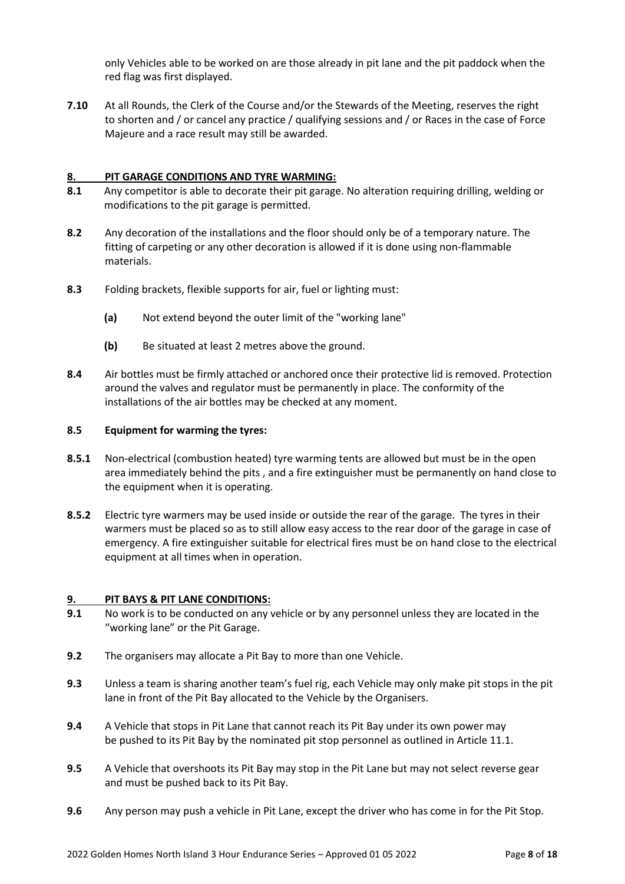only Vehicles able to be worked on are those already in pit lane and the pit paddock when the red flag was first displayed.

**7.10** At all Rounds, the Clerk of the Course and/or the Stewards of the Meeting, reserves the right to shorten and / or cancel any practice / qualifying sessions and / or Races in the case of Force Majeure and a race result may still be awarded.

# **8. PIT GARAGE CONDITIONS AND TYRE WARMING:**

- **8.1** Any competitor is able to decorate their pit garage. No alteration requiring drilling, welding or modifications to the pit garage is permitted.
- **8.2** Any decoration of the installations and the floor should only be of a temporary nature. The fitting of carpeting or any other decoration is allowed if it is done using non-flammable materials.
- **8.3** Folding brackets, flexible supports for air, fuel or lighting must:
	- **(a)** Not extend beyond the outer limit of the "working lane"
	- **(b)** Be situated at least 2 metres above the ground.
- **8.4** Air bottles must be firmly attached or anchored once their protective lid is removed. Protection around the valves and regulator must be permanently in place. The conformity of the installations of the air bottles may be checked at any moment.

# **8.5 Equipment for warming the tyres:**

- **8.5.1** Non-electrical (combustion heated) tyre warming tents are allowed but must be in the open area immediately behind the pits , and a fire extinguisher must be permanently on hand close to the equipment when it is operating.
- **8.5.2** Electric tyre warmers may be used inside or outside the rear of the garage. The tyres in their warmers must be placed so as to still allow easy access to the rear door of the garage in case of emergency. A fire extinguisher suitable for electrical fires must be on hand close to the electrical equipment at all times when in operation.

# **9. PIT BAYS & PIT LANE CONDITIONS:**

- **9.1** No work is to be conducted on any vehicle or by any personnel unless they are located in the "working lane" or the Pit Garage.
- **9.2** The organisers may allocate a Pit Bay to more than one Vehicle.
- **9.3** Unless a team is sharing another team's fuel rig, each Vehicle may only make pit stops in the pit lane in front of the Pit Bay allocated to the Vehicle by the Organisers.
- **9.4** A Vehicle that stops in Pit Lane that cannot reach its Pit Bay under its own power may be pushed to its Pit Bay by the nominated pit stop personnel as outlined in Article 11.1.
- **9.5** A Vehicle that overshoots its Pit Bay may stop in the Pit Lane but may not select reverse gear and must be pushed back to its Pit Bay.
- **9.6** Any person may push a vehicle in Pit Lane, except the driver who has come in for the Pit Stop.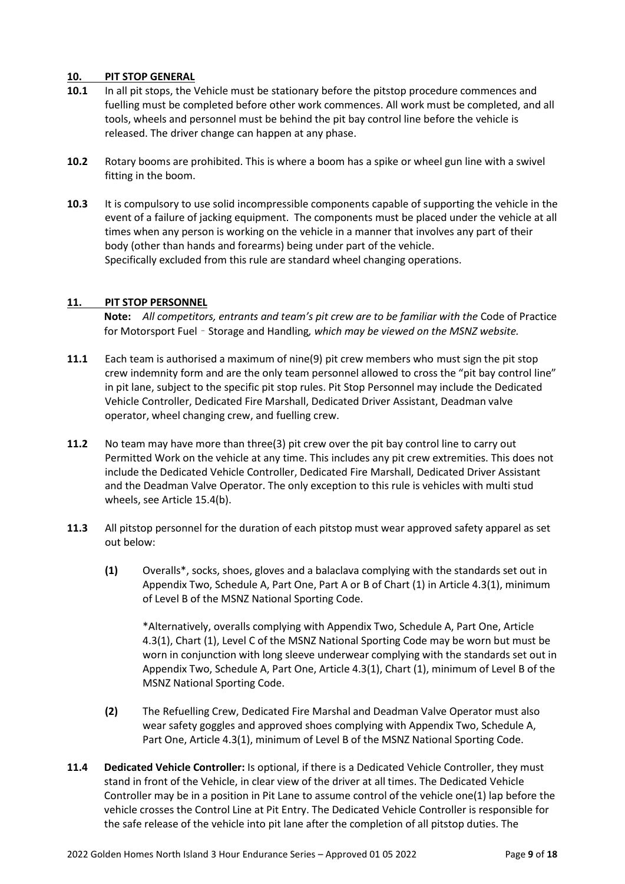# **10. PIT STOP GENERAL**

- **10.1** In all pit stops, the Vehicle must be stationary before the pitstop procedure commences and fuelling must be completed before other work commences. All work must be completed, and all tools, wheels and personnel must be behind the pit bay control line before the vehicle is released. The driver change can happen at any phase.
- **10.2** Rotary booms are prohibited. This is where a boom has a spike or wheel gun line with a swivel fitting in the boom.
- **10.3** It is compulsory to use solid incompressible components capable of supporting the vehicle in the event of a failure of jacking equipment. The components must be placed under the vehicle at all times when any person is working on the vehicle in a manner that involves any part of their body (other than hands and forearms) being under part of the vehicle. Specifically excluded from this rule are standard wheel changing operations.

# **11. PIT STOP PERSONNEL**

**Note:** *All competitors, entrants and team's pit crew are to be familiar with the* Code of Practice for Motorsport Fuel – Storage and Handling*, which may be viewed on the MSNZ website.*

- **11.1** Each team is authorised a maximum of nine(9) pit crew members who must sign the pit stop crew indemnity form and are the only team personnel allowed to cross the "pit bay control line" in pit lane, subject to the specific pit stop rules. Pit Stop Personnel may include the Dedicated Vehicle Controller, Dedicated Fire Marshall, Dedicated Driver Assistant, Deadman valve operator, wheel changing crew, and fuelling crew.
- **11.2** No team may have more than three(3) pit crew over the pit bay control line to carry out Permitted Work on the vehicle at any time. This includes any pit crew extremities. This does not include the Dedicated Vehicle Controller, Dedicated Fire Marshall, Dedicated Driver Assistant and the Deadman Valve Operator. The only exception to this rule is vehicles with multi stud wheels, see Article 15.4(b).
- **11.3** All pitstop personnel for the duration of each pitstop must wear approved safety apparel as set out below:
	- **(1)** Overalls\*, socks, shoes, gloves and a balaclava complying with the standards set out in Appendix Two, Schedule A, Part One, Part A or B of Chart (1) in Article 4.3(1), minimum of Level B of the MSNZ National Sporting Code.

\*Alternatively, overalls complying with Appendix Two, Schedule A, Part One, Article 4.3(1), Chart (1), Level C of the MSNZ National Sporting Code may be worn but must be worn in conjunction with long sleeve underwear complying with the standards set out in Appendix Two, Schedule A, Part One, Article 4.3(1), Chart (1), minimum of Level B of the MSNZ National Sporting Code.

- **(2)** The Refuelling Crew, Dedicated Fire Marshal and Deadman Valve Operator must also wear safety goggles and approved shoes complying with Appendix Two, Schedule A, Part One, Article 4.3(1), minimum of Level B of the MSNZ National Sporting Code.
- **11.4 Dedicated Vehicle Controller:** Is optional, if there is a Dedicated Vehicle Controller, they must stand in front of the Vehicle, in clear view of the driver at all times. The Dedicated Vehicle Controller may be in a position in Pit Lane to assume control of the vehicle one(1) lap before the vehicle crosses the Control Line at Pit Entry. The Dedicated Vehicle Controller is responsible for the safe release of the vehicle into pit lane after the completion of all pitstop duties. The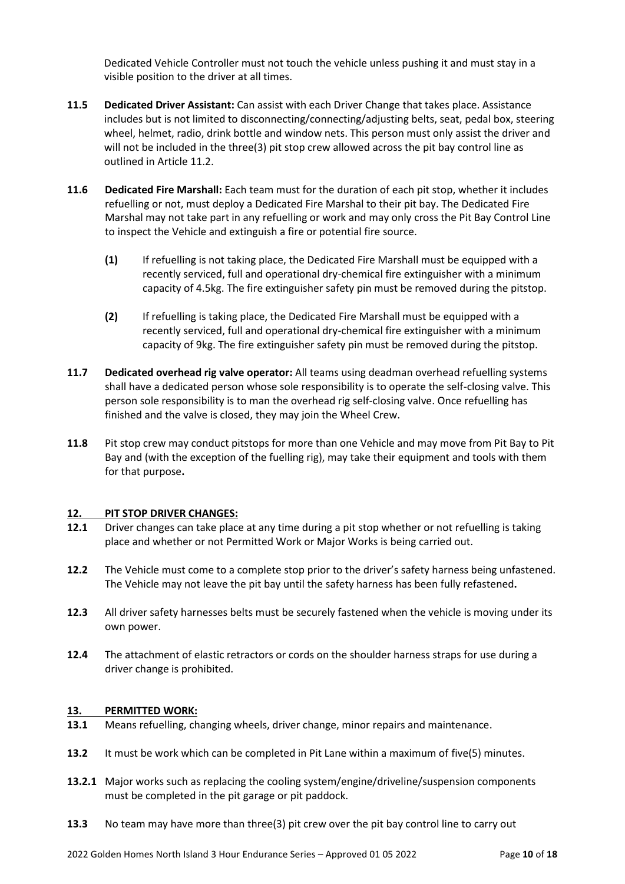Dedicated Vehicle Controller must not touch the vehicle unless pushing it and must stay in a visible position to the driver at all times.

- **11.5 Dedicated Driver Assistant:** Can assist with each Driver Change that takes place. Assistance includes but is not limited to disconnecting/connecting/adjusting belts, seat, pedal box, steering wheel, helmet, radio, drink bottle and window nets. This person must only assist the driver and will not be included in the three(3) pit stop crew allowed across the pit bay control line as outlined in Article 11.2.
- **11.6 Dedicated Fire Marshall:** Each team must for the duration of each pit stop, whether it includes refuelling or not, must deploy a Dedicated Fire Marshal to their pit bay. The Dedicated Fire Marshal may not take part in any refuelling or work and may only cross the Pit Bay Control Line to inspect the Vehicle and extinguish a fire or potential fire source.
	- **(1)** If refuelling is not taking place, the Dedicated Fire Marshall must be equipped with a recently serviced, full and operational dry-chemical fire extinguisher with a minimum capacity of 4.5kg. The fire extinguisher safety pin must be removed during the pitstop.
	- **(2)** If refuelling is taking place, the Dedicated Fire Marshall must be equipped with a recently serviced, full and operational dry-chemical fire extinguisher with a minimum capacity of 9kg. The fire extinguisher safety pin must be removed during the pitstop.
- **11.7 Dedicated overhead rig valve operator:** All teams using deadman overhead refuelling systems shall have a dedicated person whose sole responsibility is to operate the self-closing valve. This person sole responsibility is to man the overhead rig self-closing valve. Once refuelling has finished and the valve is closed, they may join the Wheel Crew.
- **11.8** Pit stop crew may conduct pitstops for more than one Vehicle and may move from Pit Bay to Pit Bay and (with the exception of the fuelling rig), may take their equipment and tools with them for that purpose**.**

# **12. PIT STOP DRIVER CHANGES:**

- **12.1** Driver changes can take place at any time during a pit stop whether or not refuelling is taking place and whether or not Permitted Work or Major Works is being carried out.
- **12.2** The Vehicle must come to a complete stop prior to the driver's safety harness being unfastened. The Vehicle may not leave the pit bay until the safety harness has been fully refastened**.**
- **12.3** All driver safety harnesses belts must be securely fastened when the vehicle is moving under its own power.
- **12.4** The attachment of elastic retractors or cords on the shoulder harness straps for use during a driver change is prohibited.

# **13. PERMITTED WORK:**

- **13.1** Means refuelling, changing wheels, driver change, minor repairs and maintenance.
- **13.2** It must be work which can be completed in Pit Lane within a maximum of five(5) minutes.
- **13.2.1** Major works such as replacing the cooling system/engine/driveline/suspension components must be completed in the pit garage or pit paddock.
- **13.3** No team may have more than three(3) pit crew over the pit bay control line to carry out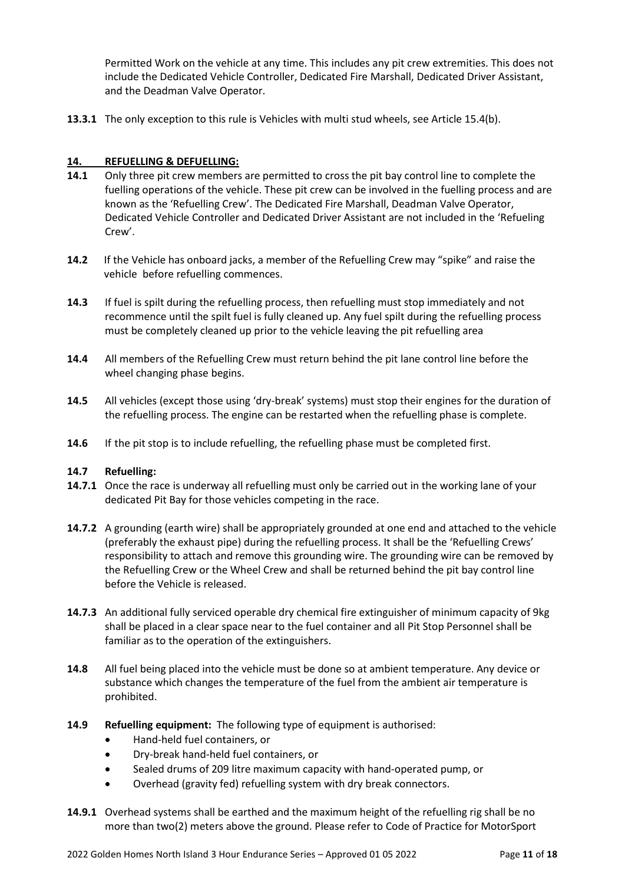Permitted Work on the vehicle at any time. This includes any pit crew extremities. This does not include the Dedicated Vehicle Controller, Dedicated Fire Marshall, Dedicated Driver Assistant, and the Deadman Valve Operator.

**13.3.1** The only exception to this rule is Vehicles with multi stud wheels, see Article 15.4(b).

# **14. REFUELLING & DEFUELLING:**

- **14.1** Only three pit crew members are permitted to cross the pit bay control line to complete the fuelling operations of the vehicle. These pit crew can be involved in the fuelling process and are known as the 'Refuelling Crew'. The Dedicated Fire Marshall, Deadman Valve Operator, Dedicated Vehicle Controller and Dedicated Driver Assistant are not included in the 'Refueling Crew'.
- **14.2** If the Vehicle has onboard jacks, a member of the Refuelling Crew may "spike" and raise the vehicle before refuelling commences.
- **14.3** If fuel is spilt during the refuelling process, then refuelling must stop immediately and not recommence until the spilt fuel is fully cleaned up. Any fuel spilt during the refuelling process must be completely cleaned up prior to the vehicle leaving the pit refuelling area
- **14.4** All members of the Refuelling Crew must return behind the pit lane control line before the wheel changing phase begins.
- **14.5** All vehicles (except those using 'dry-break' systems) must stop their engines for the duration of the refuelling process. The engine can be restarted when the refuelling phase is complete.
- **14.6** If the pit stop is to include refuelling, the refuelling phase must be completed first.

# **14.7 Refuelling:**

- **14.7.1** Once the race is underway all refuelling must only be carried out in the working lane of your dedicated Pit Bay for those vehicles competing in the race.
- **14.7.2** A grounding (earth wire) shall be appropriately grounded at one end and attached to the vehicle (preferably the exhaust pipe) during the refuelling process. It shall be the 'Refuelling Crews' responsibility to attach and remove this grounding wire. The grounding wire can be removed by the Refuelling Crew or the Wheel Crew and shall be returned behind the pit bay control line before the Vehicle is released.
- **14.7.3** An additional fully serviced operable dry chemical fire extinguisher of minimum capacity of 9kg shall be placed in a clear space near to the fuel container and all Pit Stop Personnel shall be familiar as to the operation of the extinguishers.
- **14.8** All fuel being placed into the vehicle must be done so at ambient temperature. Any device or substance which changes the temperature of the fuel from the ambient air temperature is prohibited.
- **14.9 Refuelling equipment:** The following type of equipment is authorised:
	- Hand-held fuel containers, or
	- Dry-break hand-held fuel containers, or
	- Sealed drums of 209 litre maximum capacity with hand-operated pump, or
	- Overhead (gravity fed) refuelling system with dry break connectors.
- **14.9.1** Overhead systems shall be earthed and the maximum height of the refuelling rig shall be no more than two(2) meters above the ground. Please refer to Code of Practice for MotorSport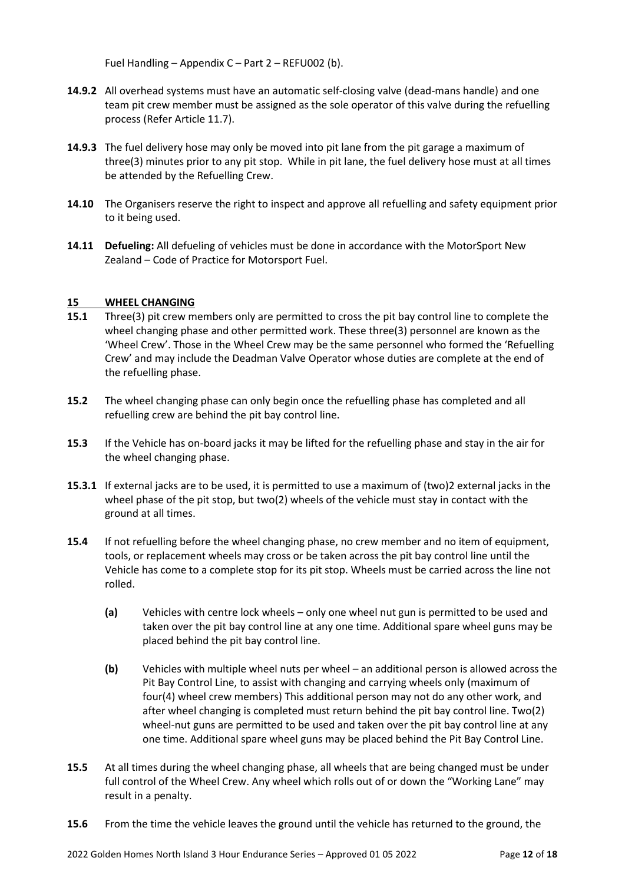Fuel Handling – Appendix C – Part 2 – REFU002 (b).

- **14.9.2** All overhead systems must have an automatic self-closing valve (dead-mans handle) and one team pit crew member must be assigned as the sole operator of this valve during the refuelling process (Refer Article 11.7).
- **14.9.3** The fuel delivery hose may only be moved into pit lane from the pit garage a maximum of three(3) minutes prior to any pit stop. While in pit lane, the fuel delivery hose must at all times be attended by the Refuelling Crew.
- **14.10** The Organisers reserve the right to inspect and approve all refuelling and safety equipment prior to it being used.
- **14.11 Defueling:** All defueling of vehicles must be done in accordance with the MotorSport New Zealand – Code of Practice for Motorsport Fuel.

# **15 WHEEL CHANGING**

- **15.1** Three(3) pit crew members only are permitted to cross the pit bay control line to complete the wheel changing phase and other permitted work. These three(3) personnel are known as the 'Wheel Crew'. Those in the Wheel Crew may be the same personnel who formed the 'Refuelling Crew' and may include the Deadman Valve Operator whose duties are complete at the end of the refuelling phase.
- **15.2** The wheel changing phase can only begin once the refuelling phase has completed and all refuelling crew are behind the pit bay control line.
- **15.3** If the Vehicle has on-board jacks it may be lifted for the refuelling phase and stay in the air for the wheel changing phase.
- **15.3.1** If external jacks are to be used, it is permitted to use a maximum of (two)2 external jacks in the wheel phase of the pit stop, but two(2) wheels of the vehicle must stay in contact with the ground at all times.
- **15.4** If not refuelling before the wheel changing phase, no crew member and no item of equipment, tools, or replacement wheels may cross or be taken across the pit bay control line until the Vehicle has come to a complete stop for its pit stop. Wheels must be carried across the line not rolled.
	- **(a)** Vehicles with centre lock wheels only one wheel nut gun is permitted to be used and taken over the pit bay control line at any one time. Additional spare wheel guns may be placed behind the pit bay control line.
	- **(b)** Vehicles with multiple wheel nuts per wheel an additional person is allowed across the Pit Bay Control Line, to assist with changing and carrying wheels only (maximum of four(4) wheel crew members) This additional person may not do any other work, and after wheel changing is completed must return behind the pit bay control line. Two(2) wheel-nut guns are permitted to be used and taken over the pit bay control line at any one time. Additional spare wheel guns may be placed behind the Pit Bay Control Line.
- **15.5** At all times during the wheel changing phase, all wheels that are being changed must be under full control of the Wheel Crew. Any wheel which rolls out of or down the "Working Lane" may result in a penalty.
- **15.6** From the time the vehicle leaves the ground until the vehicle has returned to the ground, the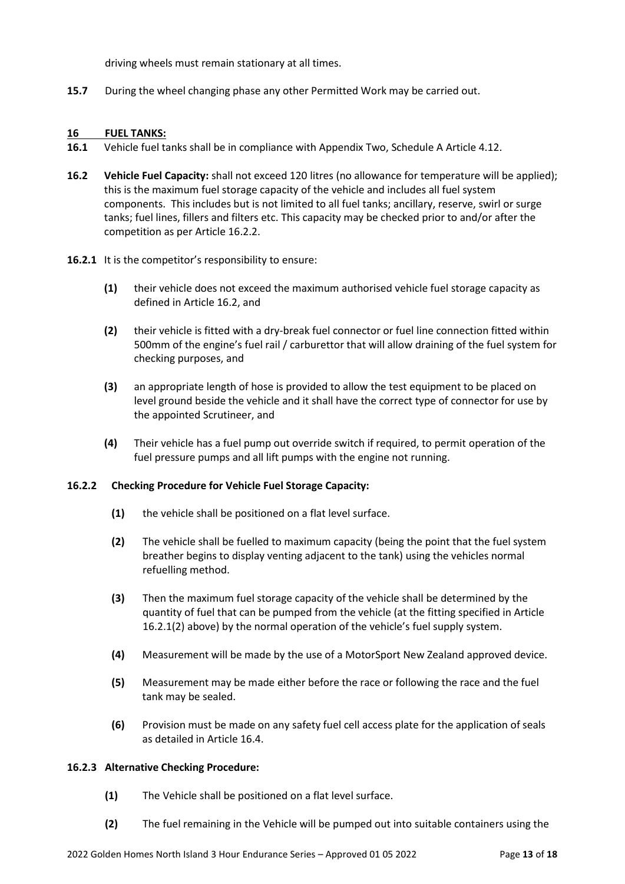driving wheels must remain stationary at all times.

**15.7** During the wheel changing phase any other Permitted Work may be carried out.

#### **16 FUEL TANKS:**

- **16.1** Vehicle fuel tanks shall be in compliance with Appendix Two, Schedule A Article 4.12.
- **16.2 Vehicle Fuel Capacity:** shall not exceed 120 litres (no allowance for temperature will be applied); this is the maximum fuel storage capacity of the vehicle and includes all fuel system components. This includes but is not limited to all fuel tanks; ancillary, reserve, swirl or surge tanks; fuel lines, fillers and filters etc. This capacity may be checked prior to and/or after the competition as per Article 16.2.2.
- **16.2.1** It is the competitor's responsibility to ensure:
	- **(1)** their vehicle does not exceed the maximum authorised vehicle fuel storage capacity as defined in Article 16.2, and
	- **(2)** their vehicle is fitted with a dry-break fuel connector or fuel line connection fitted within 500mm of the engine's fuel rail / carburettor that will allow draining of the fuel system for checking purposes, and
	- **(3)** an appropriate length of hose is provided to allow the test equipment to be placed on level ground beside the vehicle and it shall have the correct type of connector for use by the appointed Scrutineer, and
	- **(4)** Their vehicle has a fuel pump out override switch if required, to permit operation of the fuel pressure pumps and all lift pumps with the engine not running.

#### **16.2.2 Checking Procedure for Vehicle Fuel Storage Capacity:**

- **(1)** the vehicle shall be positioned on a flat level surface.
- **(2)** The vehicle shall be fuelled to maximum capacity (being the point that the fuel system breather begins to display venting adjacent to the tank) using the vehicles normal refuelling method.
- **(3)** Then the maximum fuel storage capacity of the vehicle shall be determined by the quantity of fuel that can be pumped from the vehicle (at the fitting specified in Article 16.2.1(2) above) by the normal operation of the vehicle's fuel supply system.
- **(4)** Measurement will be made by the use of a MotorSport New Zealand approved device.
- **(5)** Measurement may be made either before the race or following the race and the fuel tank may be sealed.
- **(6)** Provision must be made on any safety fuel cell access plate for the application of seals as detailed in Article 16.4.

#### **16.2.3 Alternative Checking Procedure:**

- **(1)** The Vehicle shall be positioned on a flat level surface.
- **(2)** The fuel remaining in the Vehicle will be pumped out into suitable containers using the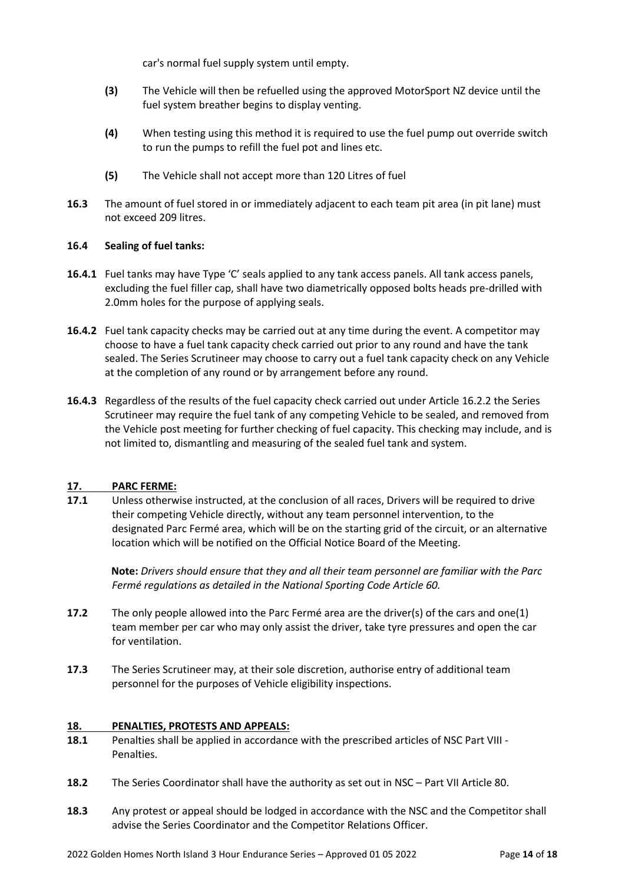car's normal fuel supply system until empty.

- **(3)** The Vehicle will then be refuelled using the approved MotorSport NZ device until the fuel system breather begins to display venting.
- **(4)** When testing using this method it is required to use the fuel pump out override switch to run the pumps to refill the fuel pot and lines etc.
- **(5)** The Vehicle shall not accept more than 120 Litres of fuel
- **16.3** The amount of fuel stored in or immediately adjacent to each team pit area (in pit lane) must not exceed 209 litres.

# **16.4 Sealing of fuel tanks:**

- **16.4.1** Fuel tanks may have Type 'C' seals applied to any tank access panels. All tank access panels, excluding the fuel filler cap, shall have two diametrically opposed bolts heads pre-drilled with 2.0mm holes for the purpose of applying seals.
- **16.4.2** Fuel tank capacity checks may be carried out at any time during the event. A competitor may choose to have a fuel tank capacity check carried out prior to any round and have the tank sealed. The Series Scrutineer may choose to carry out a fuel tank capacity check on any Vehicle at the completion of any round or by arrangement before any round.
- **16.4.3** Regardless of the results of the fuel capacity check carried out under Article 16.2.2 the Series Scrutineer may require the fuel tank of any competing Vehicle to be sealed, and removed from the Vehicle post meeting for further checking of fuel capacity. This checking may include, and is not limited to, dismantling and measuring of the sealed fuel tank and system.

# **17. PARC FERME:**

**17.1** Unless otherwise instructed, at the conclusion of all races, Drivers will be required to drive their competing Vehicle directly, without any team personnel intervention, to the designated Parc Fermé area, which will be on the starting grid of the circuit, or an alternative location which will be notified on the Official Notice Board of the Meeting.

**Note:** *Drivers should ensure that they and all their team personnel are familiar with the Parc Fermé regulations as detailed in the National Sporting Code Article 60.*

- **17.2** The only people allowed into the Parc Fermé area are the driver(s) of the cars and one(1) team member per car who may only assist the driver, take tyre pressures and open the car for ventilation.
- **17.3** The Series Scrutineer may, at their sole discretion, authorise entry of additional team personnel for the purposes of Vehicle eligibility inspections.

#### **18. PENALTIES, PROTESTS AND APPEALS:**

- **18.1** Penalties shall be applied in accordance with the prescribed articles of NSC Part VIII Penalties.
- **18.2** The Series Coordinator shall have the authority as set out in NSC Part VII Article 80.
- **18.3** Any protest or appeal should be lodged in accordance with the NSC and the Competitor shall advise the Series Coordinator and the Competitor Relations Officer.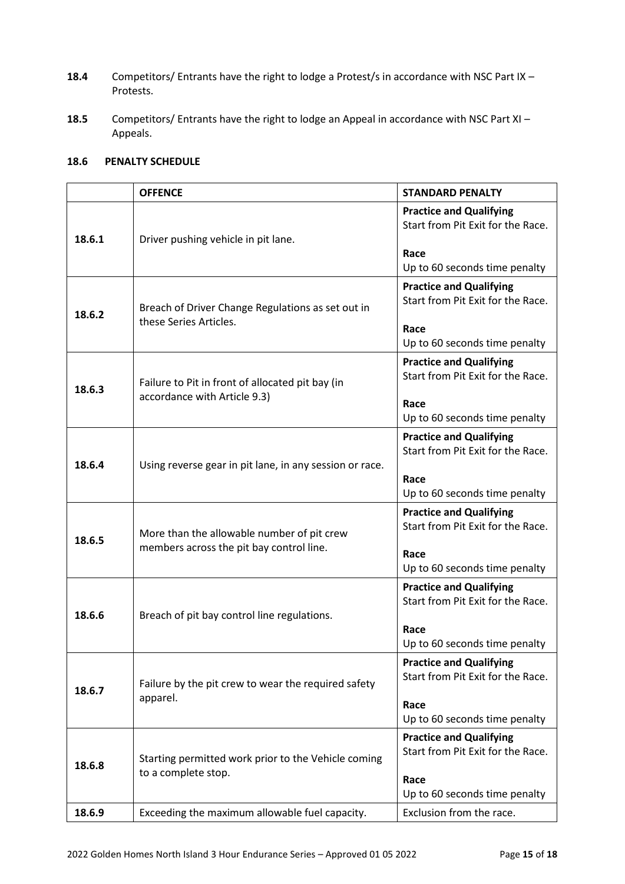- **18.4** Competitors/ Entrants have the right to lodge a Protest/s in accordance with NSC Part IX Protests.
- **18.5** Competitors/ Entrants have the right to lodge an Appeal in accordance with NSC Part XI Appeals.

# **18.6 PENALTY SCHEDULE**

|        | <b>OFFENCE</b>                                                                         | <b>STANDARD PENALTY</b>                                                                                      |
|--------|----------------------------------------------------------------------------------------|--------------------------------------------------------------------------------------------------------------|
| 18.6.1 | Driver pushing vehicle in pit lane.                                                    | <b>Practice and Qualifying</b><br>Start from Pit Exit for the Race.<br>Race<br>Up to 60 seconds time penalty |
| 18.6.2 | Breach of Driver Change Regulations as set out in<br>these Series Articles.            | <b>Practice and Qualifying</b><br>Start from Pit Exit for the Race.<br>Race<br>Up to 60 seconds time penalty |
| 18.6.3 | Failure to Pit in front of allocated pit bay (in<br>accordance with Article 9.3)       | <b>Practice and Qualifying</b><br>Start from Pit Exit for the Race.<br>Race<br>Up to 60 seconds time penalty |
| 18.6.4 | Using reverse gear in pit lane, in any session or race.                                | <b>Practice and Qualifying</b><br>Start from Pit Exit for the Race.<br>Race<br>Up to 60 seconds time penalty |
| 18.6.5 | More than the allowable number of pit crew<br>members across the pit bay control line. | <b>Practice and Qualifying</b><br>Start from Pit Exit for the Race.<br>Race<br>Up to 60 seconds time penalty |
| 18.6.6 | Breach of pit bay control line regulations.                                            | <b>Practice and Qualifying</b><br>Start from Pit Exit for the Race.<br>Race<br>Up to 60 seconds time penalty |
| 18.6.7 | Failure by the pit crew to wear the required safety<br>apparel.                        | <b>Practice and Qualifying</b><br>Start from Pit Exit for the Race.<br>Race<br>Up to 60 seconds time penalty |
| 18.6.8 | Starting permitted work prior to the Vehicle coming<br>to a complete stop.             | <b>Practice and Qualifying</b><br>Start from Pit Exit for the Race.<br>Race<br>Up to 60 seconds time penalty |
| 18.6.9 | Exceeding the maximum allowable fuel capacity.                                         | Exclusion from the race.                                                                                     |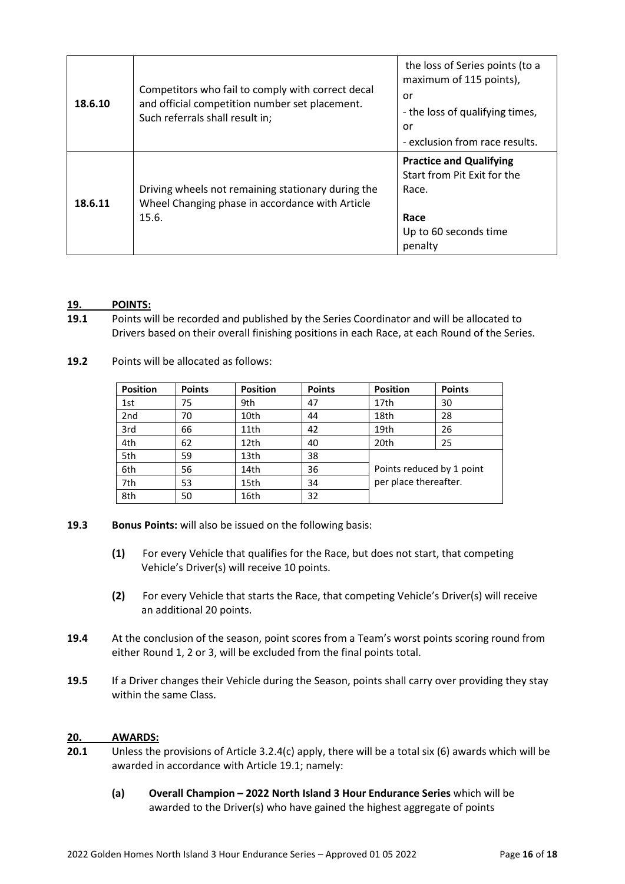| 18.6.10 | Competitors who fail to comply with correct decal<br>and official competition number set placement.<br>Such referrals shall result in; | the loss of Series points (to a<br>maximum of 115 points),<br>or<br>- the loss of qualifying times,<br>or<br>- exclusion from race results. |
|---------|----------------------------------------------------------------------------------------------------------------------------------------|---------------------------------------------------------------------------------------------------------------------------------------------|
| 18.6.11 | Driving wheels not remaining stationary during the<br>Wheel Changing phase in accordance with Article<br>15.6.                         | <b>Practice and Qualifying</b><br>Start from Pit Exit for the<br>Race.<br>Race<br>Up to 60 seconds time<br>penalty                          |

# **19. POINTS:**

- **19.1** Points will be recorded and published by the Series Coordinator and will be allocated to Drivers based on their overall finishing positions in each Race, at each Round of the Series.
- **19.2** Points will be allocated as follows:

| <b>Position</b> | <b>Points</b> | <b>Position</b> | <b>Points</b> | <b>Position</b>                                    | <b>Points</b> |
|-----------------|---------------|-----------------|---------------|----------------------------------------------------|---------------|
| 1st             | 75            | 9th             | 47            | 17th                                               | 30            |
| 2nd             | 70            | 10th            | 44            | 18th                                               | 28            |
| 3rd             | 66            | 11th            | 42            | 19th                                               | 26            |
| 4th             | 62            | 12th            | 40            | 20th                                               | 25            |
| 5th             | 59            | 13th            | 38            |                                                    |               |
| 6th             | 56            | 14th            | 36            | Points reduced by 1 point<br>per place thereafter. |               |
| 7th             | 53            | 15th            | 34            |                                                    |               |
| 8th             | 50            | 16th            | 32            |                                                    |               |

- **19.3 Bonus Points:** will also be issued on the following basis:
	- **(1)** For every Vehicle that qualifies for the Race, but does not start, that competing Vehicle's Driver(s) will receive 10 points.
	- **(2)** For every Vehicle that starts the Race, that competing Vehicle's Driver(s) will receive an additional 20 points.
- **19.4** At the conclusion of the season, point scores from a Team's worst points scoring round from either Round 1, 2 or 3, will be excluded from the final points total.
- **19.5** If a Driver changes their Vehicle during the Season, points shall carry over providing they stay within the same Class.

# **20. AWARDS:**

- **20.1** Unless the provisions of Article 3.2.4(c) apply, there will be a total six (6) awards which will be awarded in accordance with Article 19.1; namely:
	- **(a) Overall Champion – 2022 North Island 3 Hour Endurance Series** which will be awarded to the Driver(s) who have gained the highest aggregate of points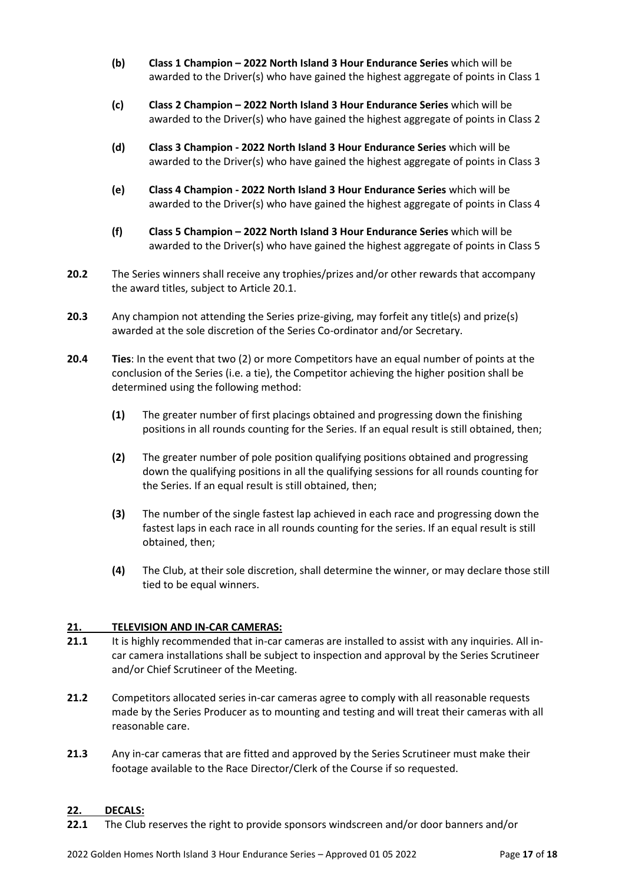- **(b) Class 1 Champion – 2022 North Island 3 Hour Endurance Series** which will be awarded to the Driver(s) who have gained the highest aggregate of points in Class 1
- **(c) Class 2 Champion – 2022 North Island 3 Hour Endurance Series** which will be awarded to the Driver(s) who have gained the highest aggregate of points in Class 2
- **(d) Class 3 Champion - 2022 North Island 3 Hour Endurance Series** which will be awarded to the Driver(s) who have gained the highest aggregate of points in Class 3
- **(e) Class 4 Champion - 2022 North Island 3 Hour Endurance Series** which will be awarded to the Driver(s) who have gained the highest aggregate of points in Class 4
- **(f) Class 5 Champion – 2022 North Island 3 Hour Endurance Series** which will be awarded to the Driver(s) who have gained the highest aggregate of points in Class 5
- **20.2** The Series winners shall receive any trophies/prizes and/or other rewards that accompany the award titles, subject to Article 20.1.
- **20.3** Any champion not attending the Series prize-giving, may forfeit any title(s) and prize(s) awarded at the sole discretion of the Series Co-ordinator and/or Secretary.
- **20.4 Ties**: In the event that two (2) or more Competitors have an equal number of points at the conclusion of the Series (i.e. a tie), the Competitor achieving the higher position shall be determined using the following method:
	- **(1)** The greater number of first placings obtained and progressing down the finishing positions in all rounds counting for the Series. If an equal result is still obtained, then;
	- **(2)** The greater number of pole position qualifying positions obtained and progressing down the qualifying positions in all the qualifying sessions for all rounds counting for the Series. If an equal result is still obtained, then;
	- **(3)** The number of the single fastest lap achieved in each race and progressing down the fastest laps in each race in all rounds counting for the series. If an equal result is still obtained, then;
	- **(4)** The Club, at their sole discretion, shall determine the winner, or may declare those still tied to be equal winners.

# **21. TELEVISION AND IN-CAR CAMERAS:**

- **21.1** It is highly recommended that in-car cameras are installed to assist with any inquiries. All incar camera installations shall be subject to inspection and approval by the Series Scrutineer and/or Chief Scrutineer of the Meeting.
- **21.2** Competitors allocated series in-car cameras agree to comply with all reasonable requests made by the Series Producer as to mounting and testing and will treat their cameras with all reasonable care.
- **21.3** Any in-car cameras that are fitted and approved by the Series Scrutineer must make their footage available to the Race Director/Clerk of the Course if so requested.

# **22. DECALS:**

**22.1** The Club reserves the right to provide sponsors windscreen and/or door banners and/or